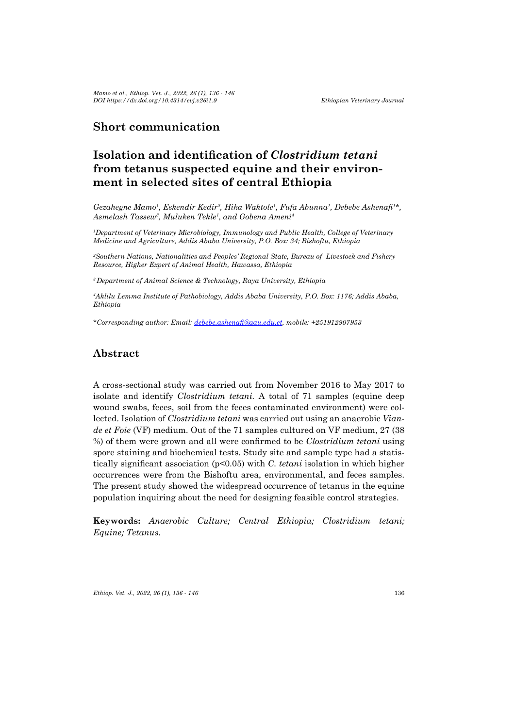# **Short communication**

# **Isolation and identification of** *Clostridium tetani* **from tetanus suspected equine and their environment in selected sites of central Ethiopia**

*Gezahegne Mamo1 , Eskendir Kedir2 , Hika Waktole1 , Fufa Abunna1 , Debebe Ashenafi<sup>1</sup> \*, Asmelash Tassew<sup>3</sup> , Muluken Tekle<sup>1</sup> , and Gobena Ameni4* 

*1 Department of Veterinary Microbiology, Immunology and Public Health, College of Veterinary Medicine and Agriculture, Addis Ababa University, P.O. Box: 34; Bishoftu, Ethiopia* 

*2 Southern Nations, Nationalities and Peoples' Regional State, Bureau of Livestock and Fishery Resource, Higher Expert of Animal Health, Hawassa, Ethiopia*

*<sup>3</sup>Department of Animal Science & Technology, Raya University, Ethiopia*

*4 Aklilu Lemma Institute of Pathobiology, Addis Ababa University, P.O. Box: 1176; Addis Ababa, Ethiopia* 

*\*Corresponding author: Email: debebe.ashenafi@aau.edu.et, mobile: +251912907953*

### **Abstract**

A cross-sectional study was carried out from November 2016 to May 2017 to isolate and identify *Clostridium tetani.* A total of 71 samples (equine deep wound swabs, feces, soil from the feces contaminated environment) were collected. Isolation of *Clostridium tetani* was carried out using an anaerobic *Viande et Foie* (VF) medium. Out of the 71 samples cultured on VF medium, 27 (38 %) of them were grown and all were confirmed to be *Clostridium tetani* using spore staining and biochemical tests. Study site and sample type had a statistically significant association (p<0.05) with *C. tetani* isolation in which higher occurrences were from the Bishoftu area, environmental, and feces samples. The present study showed the widespread occurrence of tetanus in the equine population inquiring about the need for designing feasible control strategies.

**Keywords:** *Anaerobic Culture; Central Ethiopia; Clostridium tetani; Equine; Tetanus.*

*Ethiop. Vet. J., 2022, 26 (1), 136 - 146* 136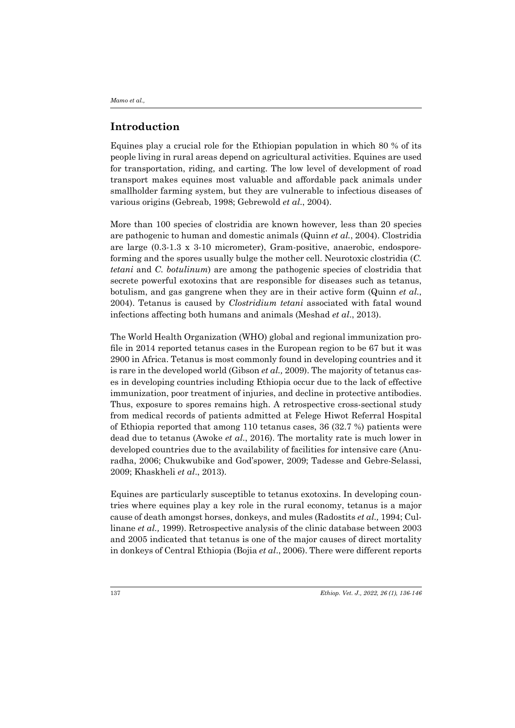## **Introduction**

Equines play a crucial role for the Ethiopian population in which 80 % of its people living in rural areas depend on agricultural activities. Equines are used for transportation, riding, and carting. The low level of development of road transport makes equines most valuable and affordable pack animals under smallholder farming system, but they are vulnerable to infectious diseases of various origins (Gebreab, 1998; Gebrewold *et al*., 2004).

More than 100 species of clostridia are known however*,* less than 20 species are pathogenic to human and domestic animals (Quinn *et al.*, 2004). Clostridia are large (0.3-1.3 x 3-10 micrometer), Gram-positive, anaerobic, endosporeforming and the spores usually bulge the mother cell. Neurotoxic clostridia (*C. tetani* and *C. botulinum*) are among the pathogenic species of clostridia that secrete powerful exotoxins that are responsible for diseases such as tetanus, botulism, and gas gangrene when they are in their active form (Quinn *et al.*, 2004). Tetanus is caused by *Clostridium tetani* associated with fatal wound infections affecting both humans and animals (Meshad *et al*., 2013).

The World Health Organization (WHO) global and regional immunization profile in 2014 reported tetanus cases in the European region to be 67 but it was 2900 in Africa. Tetanus is most commonly found in developing countries and it is rare in the developed world (Gibson *et al.,* 2009). The majority of tetanus cases in developing countries including Ethiopia occur due to the lack of effective immunization, poor treatment of injuries, and decline in protective antibodies. Thus, exposure to spores remains high. A retrospective cross-sectional study from medical records of patients admitted at Felege Hiwot Referral Hospital of Ethiopia reported that among 110 tetanus cases, 36 (32.7 %) patients were dead due to tetanus (Awoke *et al*., 2016). The mortality rate is much lower in developed countries due to the availability of facilities for intensive care (Anuradha, 2006; Chukwubike and God'spower, 2009; Tadesse and Gebre-Selassi, 2009; Khaskheli *et al*., 2013).

Equines are particularly susceptible to tetanus exotoxins. In developing countries where equines play a key role in the rural economy, tetanus is a major cause of death amongst horses, donkeys, and mules (Radostits *et al.,* 1994; Cullinane *et al.,* 1999). Retrospective analysis of the clinic database between 2003 and 2005 indicated that tetanus is one of the major causes of direct mortality in donkeys of Central Ethiopia (Bojia *et al*., 2006). There were different reports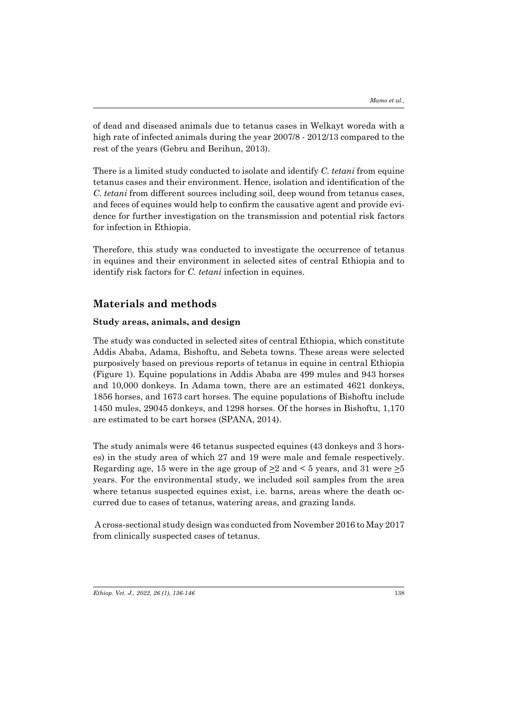of dead and diseased animals due to tetanus cases in Welkayt woreda with a high rate of infected animals during the year 2007/8 - 2012/13 compared to the rest of the years (Gebru and Berihun, 2013).

There is a limited study conducted to isolate and identify *C. tetani* from equine tetanus cases and their environment. Hence, isolation and identification of the *C. tetani* from different sources including soil, deep wound from tetanus cases, and feces of equines would help to confirm the causative agent and provide evidence for further investigation on the transmission and potential risk factors for infection in Ethiopia.

Therefore, this study was conducted to investigate the occurrence of tetanus in equines and their environment in selected sites of central Ethiopia and to identify risk factors for *C. tetani* infection in equines.

### **Materials and methods**

#### **Study areas, animals, and design**

The study was conducted in selected sites of central Ethiopia, which constitute Addis Ababa, Adama, Bishoftu, and Sebeta towns. These areas were selected purposively based on previous reports of tetanus in equine in central Ethiopia (Figure 1). Equine populations in Addis Ababa are 499 mules and 943 horses and 10,000 donkeys. In Adama town, there are an estimated 4621 donkeys, 1856 horses, and 1673 cart horses. The equine populations of Bishoftu include 1450 mules, 29045 donkeys, and 1298 horses. Of the horses in Bishoftu, 1,170 are estimated to be cart horses (SPANA, 2014).

The study animals were 46 tetanus suspected equines (43 donkeys and 3 horses) in the study area of which 27 and 19 were male and female respectively. Regarding age, 15 were in the age group of  $\geq 2$  and < 5 years, and 31 were  $\geq 5$ years. For the environmental study, we included soil samples from the area where tetanus suspected equines exist, i.e. barns, areas where the death occurred due to cases of tetanus, watering areas, and grazing lands.

 A cross-sectional study design was conducted from November 2016 to May 2017 from clinically suspected cases of tetanus.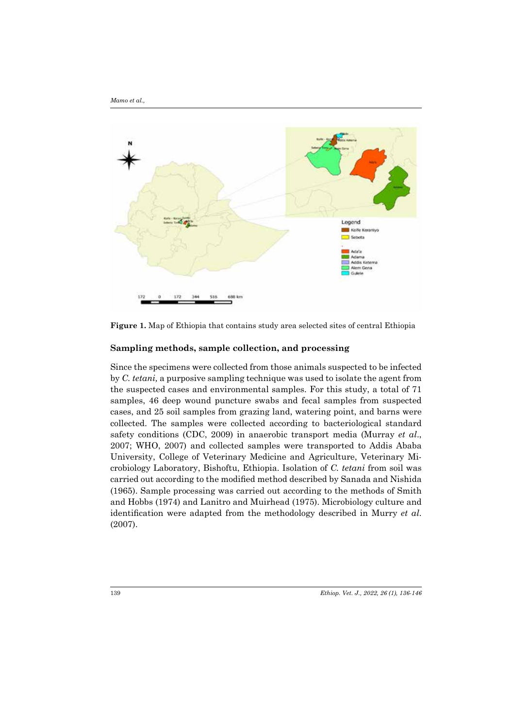

**Figure 1.** Map of Ethiopia that contains study area selected sites of central Ethiopia

#### **Sampling methods, sample collection, and processing**

Since the specimens were collected from those animals suspected to be infected by *C. tetani,* a purposive sampling technique was used to isolate the agent from the suspected cases and environmental samples. For this study, a total of 71 samples, 46 deep wound puncture swabs and fecal samples from suspected cases, and 25 soil samples from grazing land, watering point, and barns were collected. The samples were collected according to bacteriological standard safety conditions (CDC, 2009) in anaerobic transport media (Murray *et al*., 2007; WHO, 2007) and collected samples were transported to Addis Ababa University, College of Veterinary Medicine and Agriculture, Veterinary Microbiology Laboratory, Bishoftu, Ethiopia. Isolation of *C. tetani* from soil was carried out according to the modified method described by Sanada and Nishida (1965). Sample processing was carried out according to the methods of Smith and Hobbs (1974) and Lanitro and Muirhead (1975). Microbiology culture and identification were adapted from the methodology described in Murry *et al*. (2007).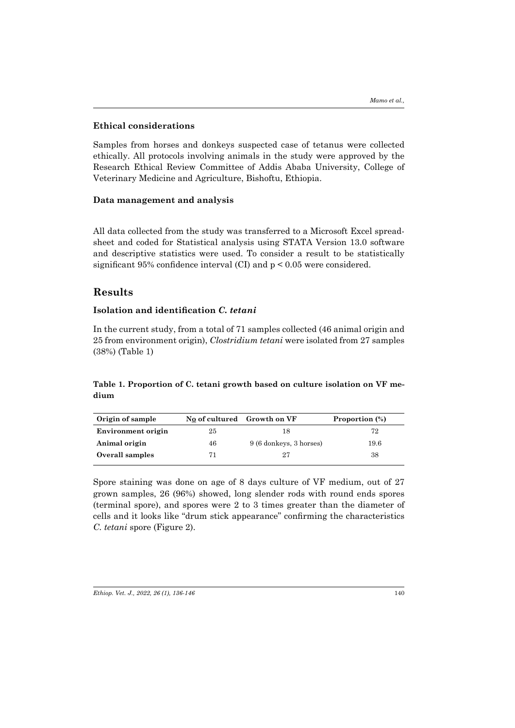#### **Ethical considerations**

Samples from horses and donkeys suspected case of tetanus were collected ethically. All protocols involving animals in the study were approved by the Research Ethical Review Committee of Addis Ababa University, College of Veterinary Medicine and Agriculture, Bishoftu, Ethiopia.

#### **Data management and analysis**

All data collected from the study was transferred to a Microsoft Excel spreadsheet and coded for Statistical analysis using STATA Version 13.0 software and descriptive statistics were used. To consider a result to be statistically significant 95% confidence interval (CI) and p < 0.05 were considered.

### **Results**

#### **Isolation and identification** *C. tetani*

In the current study, from a total of 71 samples collected (46 animal origin and 25 from environment origin), *Clostridium tetani* were isolated from 27 samples (38%) (Table 1)

### **Table 1. Proportion of C. tetani growth based on culture isolation on VF medium**

| Origin of sample   |    | No of cultured Growth on VF | Proportion (%) |  |
|--------------------|----|-----------------------------|----------------|--|
| Environment origin | 25 | 18                          | 72             |  |
| Animal origin      | 46 | 9 (6 donkeys, 3 horses)     | 19.6           |  |
| Overall samples    |    | 27                          | 38             |  |

Spore staining was done on age of 8 days culture of VF medium, out of 27 grown samples, 26 (96%) showed, long slender rods with round ends spores (terminal spore), and spores were 2 to 3 times greater than the diameter of cells and it looks like "drum stick appearance" confirming the characteristics *C. tetani* spore (Figure 2).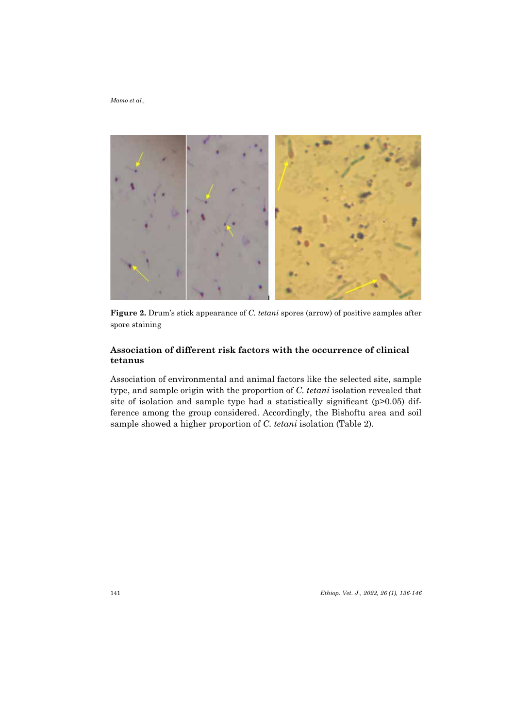*Mamo et al.,*



**Figure 2.** Drum's stick appearance of *C. tetani* spores (arrow) of positive samples after spore staining

### **Association of different risk factors with the occurrence of clinical tetanus**

Association of environmental and animal factors like the selected site, sample type, and sample origin with the proportion of *C. tetani* isolation revealed that site of isolation and sample type had a statistically significant (p>0.05) difference among the group considered. Accordingly, the Bishoftu area and soil sample showed a higher proportion of *C. tetani* isolation (Table 2).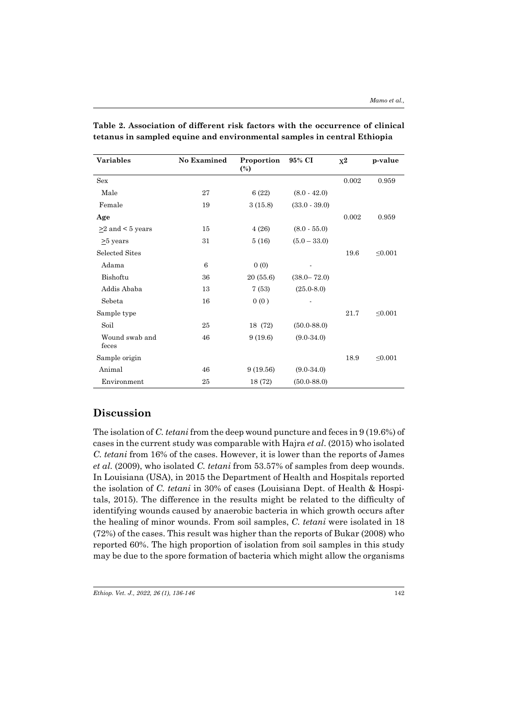| <b>Variables</b>        | <b>No Examined</b> | Proportion<br>$\binom{0}{0}$ | 95% CI          | $X^2$ | p-value      |
|-------------------------|--------------------|------------------------------|-----------------|-------|--------------|
| <b>Sex</b>              |                    |                              |                 | 0.002 | 0.959        |
| Male                    | 27                 | 6(22)                        | $(8.0 - 42.0)$  |       |              |
| Female                  | 19                 | 3(15.8)                      | $(33.0 - 39.0)$ |       |              |
| Age                     |                    |                              |                 | 0.002 | 0.959        |
| $\geq$ 2 and < 5 years  | 15                 | 4(26)                        | $(8.0 - 55.0)$  |       |              |
| $\geq$ years            | 31                 | 5(16)                        | $(5.0 - 33.0)$  |       |              |
| <b>Selected Sites</b>   |                    |                              |                 | 19.6  | $\leq 0.001$ |
| Adama                   | 6                  | 0(0)                         |                 |       |              |
| Bishoftu                | 36                 | 20(55.6)                     | $(38.0 - 72.0)$ |       |              |
| Addis Ababa             | 13                 | 7(53)                        | $(25.0-8.0)$    |       |              |
| Sebeta                  | 16                 | 0(0)                         |                 |       |              |
| Sample type             |                    |                              |                 | 21.7  | $\leq 0.001$ |
| Soil                    | 25                 | 18 (72)                      | $(50.0 - 88.0)$ |       |              |
| Wound swab and<br>feces | 46                 | 9(19.6)                      | $(9.0-34.0)$    |       |              |
| Sample origin           |                    |                              |                 | 18.9  | < 0.001      |
| Animal                  | 46                 | 9(19.56)                     | $(9.0-34.0)$    |       |              |
| Environment             | 25                 | 18 (72)                      | $(50.0 - 88.0)$ |       |              |

**Table 2. Association of different risk factors with the occurrence of clinical tetanus in sampled equine and environmental samples in central Ethiopia**

# **Discussion**

The isolation of *C. tetani* from the deep wound puncture and feces in 9 (19.6%) of cases in the current study was comparable with Hajra *et al*. (2015) who isolated *C. tetani* from 16% of the cases. However, it is lower than the reports of James *et al.* (2009), who isolated *C. tetani* from 53.57% of samples from deep wounds. In Louisiana (USA), in 2015 the Department of Health and Hospitals reported the isolation of *C. tetani* in 30% of cases (Louisiana Dept. of Health & Hospitals, 2015). The difference in the results might be related to the difficulty of identifying wounds caused by anaerobic bacteria in which growth occurs after the healing of minor wounds. From soil samples, *C. tetani* were isolated in 18 (72%) of the cases. This result was higher than the reports of Bukar (2008) who reported 60%. The high proportion of isolation from soil samples in this study may be due to the spore formation of bacteria which might allow the organisms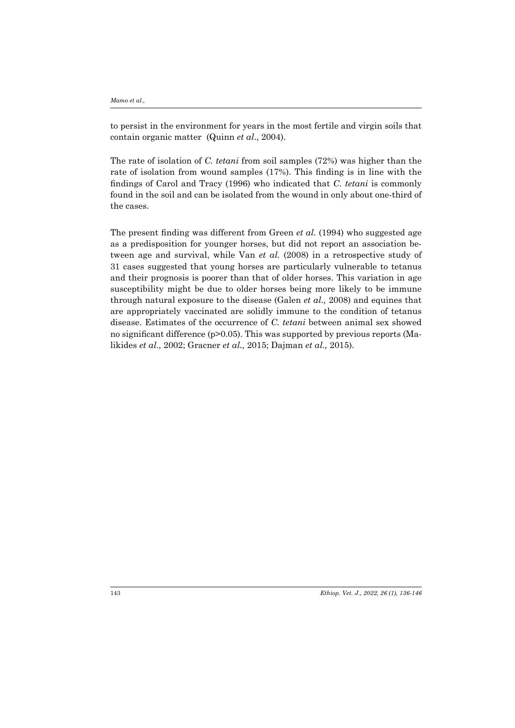*Mamo et al.,*

to persist in the environment for years in the most fertile and virgin soils that contain organic matter (Quinn *et al*., 2004).

The rate of isolation of *C. tetani* from soil samples (72%) was higher than the rate of isolation from wound samples (17%). This finding is in line with the findings of Carol and Tracy (1996) who indicated that *C. tetani* is commonly found in the soil and can be isolated from the wound in only about one-third of the cases.

The present finding was different from Green *et al.* (1994) who suggested age as a predisposition for younger horses, but did not report an association between age and survival, while Van *et al.* (2008) in a retrospective study of 31 cases suggested that young horses are particularly vulnerable to tetanus and their prognosis is poorer than that of older horses. This variation in age susceptibility might be due to older horses being more likely to be immune through natural exposure to the disease (Galen *et al.,* 2008) and equines that are appropriately vaccinated are solidly immune to the condition of tetanus disease. Estimates of the occurrence of *C. tetani* between animal sex showed no significant difference (p>0.05). This was supported by previous reports (Malikides *et al.,* 2002; Gracner *et al.,* 2015; Dajman *et al.,* 2015).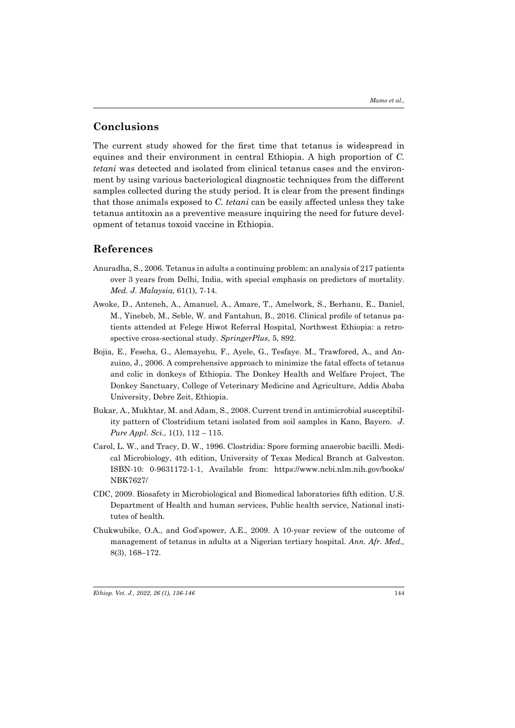### **Conclusions**

The current study showed for the first time that tetanus is widespread in equines and their environment in central Ethiopia. A high proportion of *C. tetani* was detected and isolated from clinical tetanus cases and the environment by using various bacteriological diagnostic techniques from the different samples collected during the study period. It is clear from the present findings that those animals exposed to *C. tetani* can be easily affected unless they take tetanus antitoxin as a preventive measure inquiring the need for future development of tetanus toxoid vaccine in Ethiopia.

#### **References**

- Anuradha, S., 2006. Tetanus in adults a continuing problem: an analysis of 217 patients over 3 years from Delhi, India, with special emphasis on predictors of mortality. *Med. J. Malaysia,* 61(1), 7-14.
- Awoke, D., Anteneh, A., Amanuel, A., Amare, T., Amelwork, S., Berhanu, E., Daniel, M., Yinebeb, M., Seble, W. and Fantahun, B., 2016. Clinical profile of tetanus patients attended at Felege Hiwot Referral Hospital, Northwest Ethiopia: a retrospective cross-sectional study. *SpringerPlus*, 5, 892.
- Bojia, E., Feseha, G., Alemayehu, F., Ayele, G., Tesfaye. M., Trawfored, A., and Anzuino, J., 2006. A comprehensive approach to minimize the fatal effects of tetanus and colic in donkeys of Ethiopia. The Donkey Health and Welfare Project, The Donkey Sanctuary, College of Veterinary Medicine and Agriculture, Addis Ababa University, Debre Zeit, Ethiopia.
- Bukar, A., Mukhtar, M. and Adam, S., 2008. Current trend in antimicrobial susceptibility pattern of Clostridium tetani isolated from soil samples in Kano, Bayero. *J. Pure Appl. Sci.,* 1(1), 112 – 115.
- Carol, L. W., and Tracy, D. W., 1996. Clostridia: Spore forming anaerobic bacilli. Medical Microbiology, 4th edition, University of Texas Medical Branch at Galveston. ISBN-10: 0-9631172-1-1, Available from: https://www.ncbi.nlm.nih.gov/books/ NBK7627/
- CDC, 2009. Biosafety in Microbiological and Biomedical laboratories fifth edition. U.S. Department of Health and human services, Public health service, National institutes of health.
- Chukwubike, O.A., and God'spower, A.E., 2009. A 10-year review of the outcome of management of tetanus in adults at a Nigerian tertiary hospital. *Ann. Afr. Med.,*  8(3), 168–172.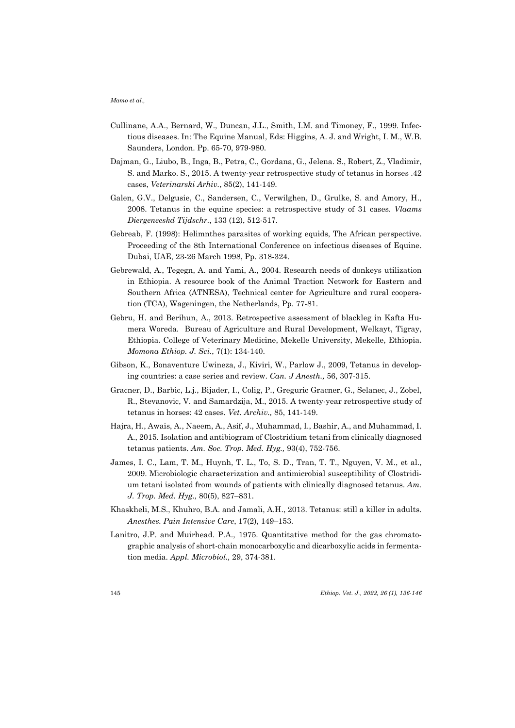- Cullinane, A.A., Bernard, W., Duncan, J.L., Smith, I.M. and Timoney, F., 1999. Infectious diseases. In: The Equine Manual, Eds: Higgins, A. J. and Wright, I. M., W.B. Saunders, London. Pp. 65-70, 979-980.
- Dajman, G., Liubo, B., Inga, B., Petra, C., Gordana, G., Jelena. S., Robert, Z., Vladimir, S. and Marko. S., 2015. A twenty-year retrospective study of tetanus in horses .42 cases, *Veterinarski Arhiv.*, 85(2), 141-149.
- Galen, G.V., Delgusie, C., Sandersen, C., Verwilghen, D., Grulke, S. and Amory, H., 2008. Tetanus in the equine species: a retrospective study of 31 cases. *Vlaams Diergeneeskd Tijdschr.*, 133 (12), 512-517.
- Gebreab, F. (1998): Helimnthes parasites of working equids, The African perspective. Proceeding of the 8th International Conference on infectious diseases of Equine. Dubai, UAE, 23-26 March 1998, Pp. 318-324.
- Gebrewald, A., Tegegn, A. and Yami, A., 2004. Research needs of donkeys utilization in Ethiopia. A resource book of the Animal Traction Network for Eastern and Southern Africa (ATNESA), Technical center for Agriculture and rural cooperation (TCA), Wageningen, the Netherlands, Pp. 77-81.
- Gebru, H. and Berihun, A., 2013. Retrospective assessment of blackleg in Kafta Humera Woreda. Bureau of Agriculture and Rural Development, Welkayt, Tigray, Ethiopia. College of Veterinary Medicine, Mekelle University, Mekelle, Ethiopia. *Momona Ethiop. J. Sci*., 7(1): 134-140.
- Gibson, K., Bonaventure Uwineza, J., Kiviri, W., Parlow J., 2009, Tetanus in developing countries: a case series and review. *Can. J Anesth.,* 56, 307-315.
- Gracner, D., Barbic, L.j., Bijader, I., Colig, P., Greguric Gracner, G., Selanec, J., Zobel, R., Stevanovic, V. and Samardzija, M., 2015. A twenty-year retrospective study of tetanus in horses: 42 cases. *Vet. Archiv.,* 85, 141-149.
- Hajra, H., Awais, A., Naeem, A., Asif, J., Muhammad, I., Bashir, A., and Muhammad, I. A., 2015. Isolation and antibiogram of Clostridium tetani from clinically diagnosed tetanus patients. *Am. Soc. Trop. Med. Hyg.,* 93(4), 752-756.
- James, I. C., Lam, T. M., Huynh, T. L., To, S. D., Tran, T. T., Nguyen, V. M., et al., 2009. Microbiologic characterization and antimicrobial susceptibility of Clostridium tetani isolated from wounds of patients with clinically diagnosed tetanus. *Am. J. Trop. Med. Hyg.,* 80(5), 827–831.
- Khaskheli, M.S., Khuhro, B.A. and Jamali, A.H., 2013. Tetanus: still a killer in adults. *Anesthes. Pain Intensive Care*, 17(2), 149–153.
- Lanitro, J.P. and Muirhead. P.A., 1975. Quantitative method for the gas chromatographic analysis of short-chain monocarboxylic and dicarboxylic acids in fermentation media. *Appl. Microbiol.,* 29, 374-381.